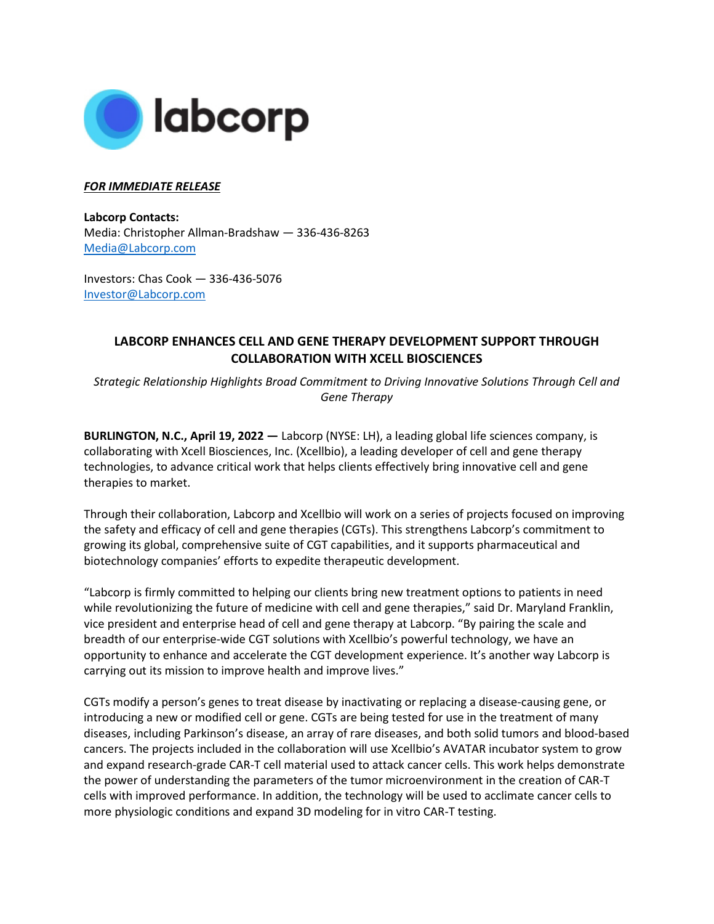

## *FOR IMMEDIATE RELEASE*

**Labcorp Contacts:**  Media: Christopher Allman-Bradshaw — 336-436-8263 [Media@Labcorp.com](mailto:Media@Labcorp.com)

Investors: Chas Cook — 336-436-5076 [Investor@Labcorp.com](mailto:Investor@Labcorp.com) 

## **LABCORP ENHANCES CELL AND GENE THERAPY DEVELOPMENT SUPPORT THROUGH COLLABORATION WITH XCELL BIOSCIENCES**

*Strategic Relationship Highlights Broad Commitment to Driving Innovative Solutions Through Cell and Gene Therapy*

**BURLINGTON, N.C., April 19, 2022 —** Labcorp (NYSE: LH), a leading global life sciences company, is collaborating with Xcell Biosciences, Inc. (Xcellbio), a leading developer of cell and gene therapy technologies, to advance critical work that helps clients effectively bring innovative cell and gene therapies to market.

Through their collaboration, Labcorp and Xcellbio will work on a series of projects focused on improving the safety and efficacy of cell and gene therapies (CGTs). This strengthens Labcorp's commitment to growing its global, comprehensive suite of CGT capabilities, and it supports pharmaceutical and biotechnology companies' efforts to expedite therapeutic development.

"Labcorp is firmly committed to helping our clients bring new treatment options to patients in need while revolutionizing the future of medicine with cell and gene therapies," said Dr. Maryland Franklin, vice president and enterprise head of cell and gene therapy at Labcorp. "By pairing the scale and breadth of our enterprise-wide CGT solutions with Xcellbio's powerful technology, we have an opportunity to enhance and accelerate the CGT development experience. It's another way Labcorp is carrying out its mission to improve health and improve lives."

CGTs modify a person's genes to treat disease by inactivating or replacing a disease-causing gene, or introducing a new or modified cell or gene. CGTs are being tested for use in the treatment of many diseases, including Parkinson's disease, an array of rare diseases, and both solid tumors and blood-based cancers. The projects included in the collaboration will use Xcellbio's AVATAR incubator system to grow and expand research-grade CAR-T cell material used to attack cancer cells. This work helps demonstrate the power of understanding the parameters of the tumor microenvironment in the creation of CAR-T cells with improved performance. In addition, the technology will be used to acclimate cancer cells to more physiologic conditions and expand 3D modeling for in vitro CAR-T testing.